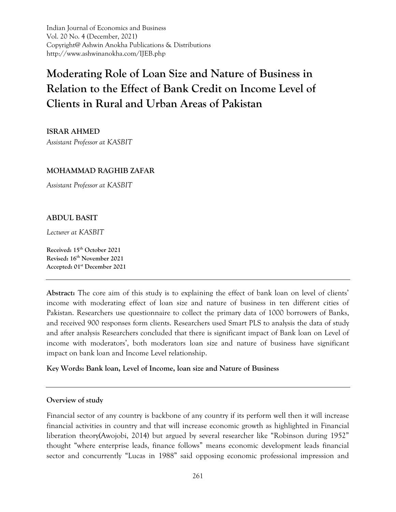Indian Journal of Economics and Business Vol. 20 No. 4 (December, 2021) Copyright@ Ashwin Anokha Publications & Distributions http://www.ashwinanokha.com/IJEB.php

# **Moderating Role of Loan Size and Nature of Business in Relation to the Effect of Bank Credit on Income Level of Clients in Rural and Urban Areas of Pakistan**

**ISRAR AHMED** 

*Assistant Professor at KASBIT*

## **MOHAMMAD RAGHIB ZAFAR**

*Assistant Professor at KASBIT*

## **ABDUL BASIT**

*Lecturer at KASBIT*

**Received: 15th October 2021 Revised: 16th November 2021 Accepted: 01st December 2021** 

**Abstract:** The core aim of this study is to explaining the effect of bank loan on level of clients' income with moderating effect of loan size and nature of business in ten different cities of Pakistan. Researchers use questionnaire to collect the primary data of 1000 borrowers of Banks, and received 900 responses form clients. Researchers used Smart PLS to analysis the data of study and after analysis Researchers concluded that there is significant impact of Bank loan on Level of income with moderators', both moderators loan size and nature of business have significant impact on bank loan and Income Level relationship.

#### **Key Words: Bank loan, Level of Income, loan size and Nature of Business**

#### **Overview of study**

Financial sector of any country is backbone of any country if its perform well then it will increase financial activities in country and that will increase economic growth as highlighted in Financial liberation theory(Awojobi, 2014) but argued by several researcher like "Robinson during 1952" thought "where enterprise leads, finance follows" means economic development leads financial sector and concurrently "Lucas in 1988" said opposing economic professional impression and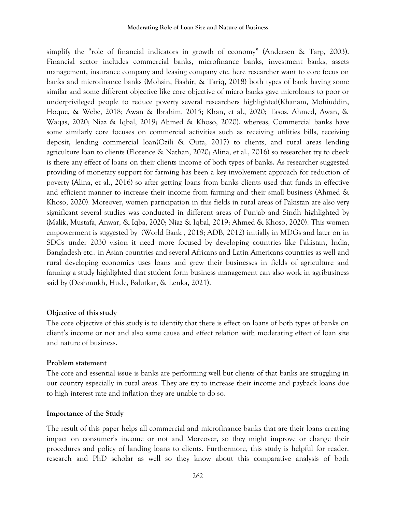#### **Moderating Role of Loan Size and Nature of Business**

simplify the "role of financial indicators in growth of economy" (Andersen & Tarp, 2003). Financial sector includes commercial banks, microfinance banks, investment banks, assets management, insurance company and leasing company etc. here researcher want to core focus on banks and microfinance banks (Mohsin, Bashir, & Tariq, 2018) both types of bank having some similar and some different objective like core objective of micro banks gave microloans to poor or underprivileged people to reduce poverty several researchers highlighted(Khanam, Mohiuddin, Hoque, & Webe, 2018; Awan & Ibrahim, 2015; Khan, et al., 2020; Tasos, Ahmed, Awan, & Waqas, 2020; Niaz & Iqbal, 2019; Ahmed & Khoso, 2020). whereas, Commercial banks have some similarly core focuses on commercial activities such as receiving utilities bills, receiving deposit, lending commercial loan(Ozili & Outa, 2017) to clients, and rural areas lending agriculture loan to clients (Florence & Nathan, 2020; Alina, et al., 2016) so researcher try to check is there any effect of loans on their clients income of both types of banks. As researcher suggested providing of monetary support for farming has been a key involvement approach for reduction of poverty (Alina, et al., 2016) so after getting loans from banks clients used that funds in effective and efficient manner to increase their income from farming and their small business (Ahmed & Khoso, 2020). Moreover, women participation in this fields in rural areas of Pakistan are also very significant several studies was conducted in different areas of Punjab and Sindh highlighted by (Malik, Mustafa, Anwar, & Iqba, 2020; Niaz & Iqbal, 2019; Ahmed & Khoso, 2020). This women empowerment is suggested by (World Bank , 2018; ADB, 2012) initially in MDGs and later on in SDGs under 2030 vision it need more focused by developing countries like Pakistan, India, Bangladesh etc.. in Asian countries and several Africans and Latin Americans countries as well and rural developing economies uses loans and grew their businesses in fields of agriculture and farming a study highlighted that student form business management can also work in agribusiness said by (Deshmukh, Hude, Balutkar, & Lenka, 2021).

#### **Objective of this study**

The core objective of this study is to identify that there is effect on loans of both types of banks on client's income or not and also same cause and effect relation with moderating effect of loan size and nature of business.

#### **Problem statement**

The core and essential issue is banks are performing well but clients of that banks are struggling in our country especially in rural areas. They are try to increase their income and payback loans due to high interest rate and inflation they are unable to do so.

#### **Importance of the Study**

The result of this paper helps all commercial and microfinance banks that are their loans creating impact on consumer's income or not and Moreover, so they might improve or change their procedures and policy of landing loans to clients. Furthermore, this study is helpful for reader, research and PhD scholar as well so they know about this comparative analysis of both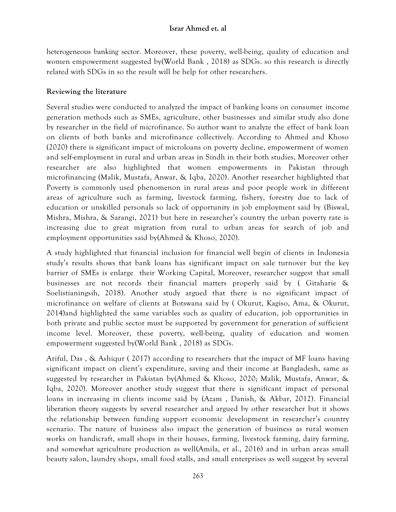heterogeneous banking sector. Moreover, these poverty, well-being, quality of education and women empowerment suggested by(World Bank , 2018) as SDGs. so this research is directly related with SDGs in so the result will be help for other researchers.

## **Reviewing the literature**

Several studies were conducted to analyzed the impact of banking loans on consumer income generation methods such as SMEs, agriculture, other businesses and similar study also done by researcher in the field of microfinance. So author want to analyze the effect of bank loan on clients of both banks and microfinance collectively. According to Ahmed and Khoso (2020) there is significant impact of microloans on poverty decline, empowerment of women and self-employment in rural and urban areas in Sindh in their both studies, Moreover other researcher are also highlighted that women empowerments in Pakistan through microfinancing (Malik, Mustafa, Anwar, & Iqba, 2020). Another researcher highlighted that Poverty is commonly used phenomenon in rural areas and poor people work in different areas of agriculture such as farming, livestock farming, fishery, forestry due to lack of education or unskilled personals so lack of opportunity in job employment said by (Biswal, Mishra, Mishra, & Sarangi, 2021) but here in researcher's country the urban poverty rate is increasing due to great migration from rural to urban areas for search of job and employment opportunities said by(Ahmed & Khoso, 2020).

A study highlighted that financial inclusion for financial well begin of clients in Indonesia study's results shows that bank loans has significant impact on sale turnover but the key barrier of SMEs is enlarge their Working Capital, Moreover, researcher suggest that small businesses are not records their financial matters properly said by ( Gitaharie & Soelistianingsih, 2018). Another study argued that there is no significant impact of microfinance on welfare of clients at Botswana said by ( Okurut, Kagiso, Ama, & Okurut, 2014)and highlighted the same variables such as quality of education, job opportunities in both private and public sector must be supported by government for generation of sufficient income level. Moreover, these poverty, well-being, quality of education and women empowerment suggested by(World Bank , 2018) as SDGs.

Ariful, Das , & Ashiqur ( 2017) according to researchers that the impact of MF loans having significant impact on client's expenditure, saving and their income at Bangladesh, same as suggested by researcher in Pakistan by(Ahmed & Khoso, 2020; Malik, Mustafa, Anwar, & Iqba, 2020). Moreover another study suggest that there is significant impact of personal loans in increasing in clients income said by (Azam , Danish, & Akbar, 2012). Financial liberation theory suggests by several researcher and argued by other researcher but it shows the relationship between funding support economic development in researcher's country scenario. The nature of business also impact the generation of business as rural women works on handicraft, small shops in their houses, farming, livestock farming, dairy farming, and somewhat agriculture production as well(Amila, et al., 2016) and in urban areas small beauty salon, laundry shops, small food stalls, and small enterprises as well suggest by several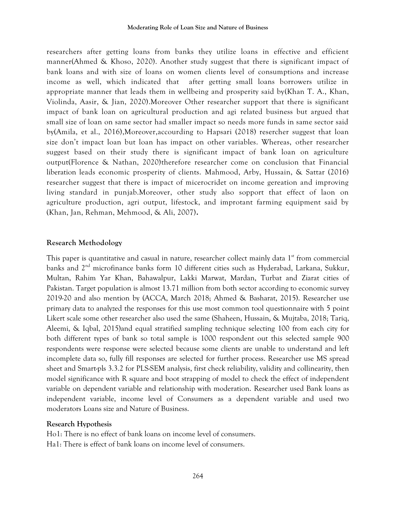researchers after getting loans from banks they utilize loans in effective and efficient manner(Ahmed & Khoso, 2020). Another study suggest that there is significant impact of bank loans and with size of loans on women clients level of consumptions and increase income as well, which indicated that after getting small loans borrowers utilize in appropriate manner that leads them in wellbeing and prosperity said by(Khan T. A., Khan, Violinda, Aasir, & Jian, 2020).Moreover Other researcher support that there is significant impact of bank loan on agricultural production and agi related business but argued that small size of loan on same sector had smaller impact so needs more funds in same sector said by(Amila, et al., 2016),Moreover,accourding to Hapsari (2018) resercher suggest that loan size don't impact loan but loan has impact on other variables. Whereas, other researcher suggest based on their study there is significant impact of bank loan on agriculture output(Florence & Nathan, 2020)therefore researcher come on conclusion that Financial liberation leads economic prosperity of clients. Mahmood, Arby, Hussain, & Sattar (2016) researcher suggest that there is impact of micerocridet on income gereation and improving living standard in punjab.Moreover, other study also sopport that effect of laon on agriculture production, agri output, lifestock, and improtant farming equipment said by (Khan, Jan, Rehman, Mehmood, & Ali, 2007)**.**

#### **Research Methodology**

This paper is quantitative and casual in nature, researcher collect mainly data  $1<sup>st</sup>$  from commercial banks and 2<sup>nd</sup> microfinance banks form 10 different cities such as Hyderabad, Larkana, Sukkur, Multan, Rahim Yar Khan, Bahawalpur, Lakki Marwat, Mardan, Turbat and Ziarat cities of Pakistan. Target population is almost 13.71 million from both sector according to economic survey 2019-20 and also mention by (ACCA, March 2018; Ahmed & Basharat, 2015). Researcher use primary data to analyzed the responses for this use most common tool questionnaire with 5 point Likert scale some other researcher also used the same (Shaheen, Hussain, & Mujtaba, 2018; Tariq, Aleemi, & Iqbal, 2015)and equal stratified sampling technique selecting 100 from each city for both different types of bank so total sample is 1000 respondent out this selected sample 900 respondents were response were selected because some clients are unable to understand and left incomplete data so, fully fill responses are selected for further process. Researcher use MS spread sheet and Smart-pls 3.3.2 for PLS-SEM analysis, first check reliability, validity and collinearity, then model significance with R square and boot strapping of model to check the effect of independent variable on dependent variable and relationship with moderation. Researcher used Bank loans as independent variable, income level of Consumers as a dependent variable and used two moderators Loans size and Nature of Business.

#### **Research Hypothesis**

Ho1: There is no effect of bank loans on income level of consumers. Ha1: There is effect of bank loans on income level of consumers.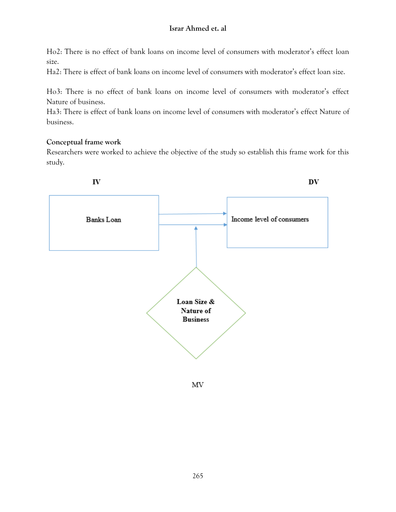Ho2: There is no effect of bank loans on income level of consumers with moderator's effect loan size.

Ha2: There is effect of bank loans on income level of consumers with moderator's effect loan size.

Ho3: There is no effect of bank loans on income level of consumers with moderator's effect Nature of business.

Ha3: There is effect of bank loans on income level of consumers with moderator's effect Nature of business.

## **Conceptual frame work**

Researchers were worked to achieve the objective of the study so establish this frame work for this study.



MV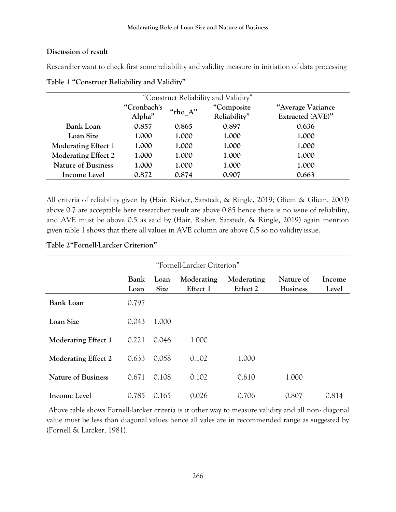#### **Discussion of result**

Researcher want to check first some reliability and validity measure in initiation of data processing

| "Construct Reliability and Validity" |                       |             |                             |                                       |  |
|--------------------------------------|-----------------------|-------------|-----------------------------|---------------------------------------|--|
|                                      | "Cronbach's<br>Alpha" | " $rho_A$ " | "Composite"<br>Reliability" | "Average Variance<br>Extracted (AVE)" |  |
| <b>Bank Loan</b>                     | 0.857                 | 0.865       | 0.897                       | 0.636                                 |  |
| Loan Size                            | 1.000                 | 1.000       | 1.000                       | 1.000                                 |  |
| <b>Moderating Effect 1</b>           | 1.000                 | 1.000       | 1.000                       | 1.000                                 |  |
| <b>Moderating Effect 2</b>           | 1.000                 | 1.000       | 1.000                       | 1.000                                 |  |
| <b>Nature of Business</b>            | 1.000                 | 1.000       | 1.000                       | 1.000                                 |  |
| Income Level                         | 0.872                 | 0.874       | 0.907                       | 0.663                                 |  |

**Table 1 "Construct Reliability and Validity"**

All criteria of reliability given by (Hair, Risher, Sarstedt, & Ringle, 2019; Gliem & Gliem, 2003) above 0.7 are acceptable here researcher result are above 0.85 hence there is no issue of reliability, and AVE must be above 0.5 as said by (Hair, Risher, Sarstedt, & Ringle, 2019) again mention given table 1 shows that there all values in AVE column are above 0.5 so no validity issue.

## **Table 2"Fornell-Larcker Criterion"**

| "Fornell-Larcker Criterion" |                     |                     |                        |                        |                              |                 |  |
|-----------------------------|---------------------|---------------------|------------------------|------------------------|------------------------------|-----------------|--|
|                             | <b>Bank</b><br>Loan | Loan<br><b>Size</b> | Moderating<br>Effect 1 | Moderating<br>Effect 2 | Nature of<br><b>Business</b> | Income<br>Level |  |
| <b>Bank Loan</b>            | 0.797               |                     |                        |                        |                              |                 |  |
| Loan Size                   | 0.043               | 1.000               |                        |                        |                              |                 |  |
| <b>Moderating Effect 1</b>  | 0.221               | 0.046               | 1.000                  |                        |                              |                 |  |
| <b>Moderating Effect 2</b>  | 0.633               | 0.058               | 0.102                  | 1.000                  |                              |                 |  |
| <b>Nature of Business</b>   | 0.671               | 0.108               | 0.102                  | 0.610                  | 1.000                        |                 |  |
| Income Level                | 0.785               | 0.165               | 0.026                  | 0.706                  | 0.807                        | 0.814           |  |

Above table shows Fornell-larcker criteria is it other way to measure validity and all non- diagonal value must be less than diagonal values hence all vales are in recommended range as suggested by (Fornell & Larcker, 1981).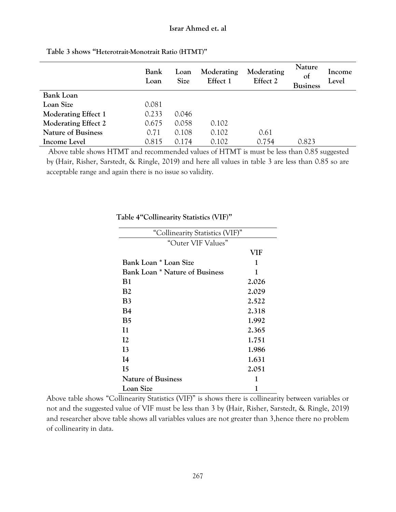|                            | Bank<br>Loan | Loan<br><b>Size</b> | Moderating<br>Effect 1 | Moderating<br>Effect 2 | <b>Nature</b><br>of<br><b>Business</b> | Income<br>Level |
|----------------------------|--------------|---------------------|------------------------|------------------------|----------------------------------------|-----------------|
| <b>Bank Loan</b>           |              |                     |                        |                        |                                        |                 |
| Loan Size                  | 0.081        |                     |                        |                        |                                        |                 |
| <b>Moderating Effect 1</b> | 0.233        | 0.046               |                        |                        |                                        |                 |
| <b>Moderating Effect 2</b> | 0.675        | 0.058               | 0.102                  |                        |                                        |                 |
| <b>Nature of Business</b>  | 0.71         | 0.108               | 0.102                  | 0.61                   |                                        |                 |
| Income Level               | 0.815        | 0.174               | 0.102                  | 0.754                  | 0.823                                  |                 |

**Table 3 shows "Heterotrait-Monotrait Ratio (HTMT)"**

Above table shows HTMT and recommended values of HTMT is must be less than 0.85 suggested by (Hair, Risher, Sarstedt, & Ringle, 2019) and here all values in table 3 are less than 0.85 so are acceptable range and again there is no issue so validity.

| "Collinearity Statistics (VIF)"       |       |  |  |  |
|---------------------------------------|-------|--|--|--|
| "Outer VIF Values"                    |       |  |  |  |
|                                       | VIF   |  |  |  |
| Bank Loan * Loan Size                 | 1     |  |  |  |
| <b>Bank Loan * Nature of Business</b> | 1     |  |  |  |
| B1                                    | 2.026 |  |  |  |
| <b>B2</b>                             | 2.029 |  |  |  |
| B3                                    | 2.522 |  |  |  |
| B4                                    | 2.318 |  |  |  |
| B <sub>5</sub>                        | 1.992 |  |  |  |
| I <sub>1</sub>                        | 2.365 |  |  |  |
| 12                                    | 1.751 |  |  |  |
| 13                                    | 1.986 |  |  |  |
| I4                                    | 1.631 |  |  |  |
| 15                                    | 2.051 |  |  |  |
| <b>Nature of Business</b>             | 1     |  |  |  |
| Loan Size                             | 1     |  |  |  |

**Table 4"Collinearity Statistics (VIF)"**

Above table shows "Collinearity Statistics (VIF)" is shows there is collinearity between variables or not and the suggested value of VIF must be less than 3 by (Hair, Risher, Sarstedt, & Ringle, 2019) and researcher above table shows all variables values are not greater than 3,hence there no problem of collinearity in data.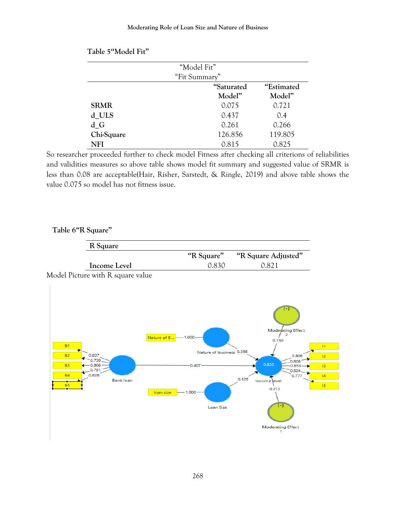| "Model Fit"   |            |            |  |  |  |
|---------------|------------|------------|--|--|--|
| "Fit Summary" |            |            |  |  |  |
|               | "Saturated | "Estimated |  |  |  |
|               | Model"     | Model"     |  |  |  |
| <b>SRMR</b>   | 0.075      | 0.721      |  |  |  |
| d ULS         | 0.437      | 0.4        |  |  |  |
| d G           | 0.261      | 0.266      |  |  |  |
| Chi-Square    | 126.856    | 119.805    |  |  |  |
| NFI           | 0.815      | 0.825      |  |  |  |

So researcher proceeded further to check model Fitness after checking all criterions of reliabilities and validities measures so above table shows model fit summary and suggested value of SRMR is less than 0.08 are acceptable(Hair, Risher, Sarstedt, & Ringle, 2019) and above table shows the value 0.075 so model has not fitness issue.

## **Table 6"R Square"**

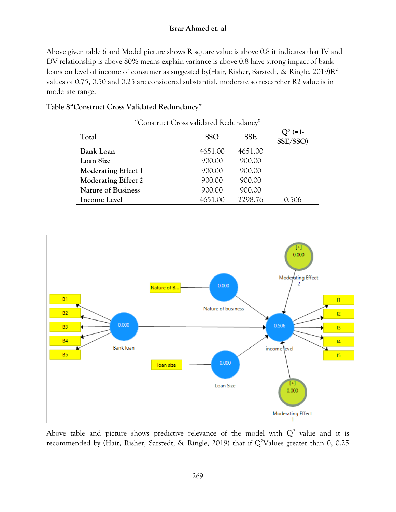Above given table 6 and Model picture shows R square value is above 0.8 it indicates that IV and DV relationship is above 80% means explain variance is above 0.8 have strong impact of bank loans on level of income of consumer as suggested by(Hair, Risher, Sarstedt, & Ringle, 2019)R<sup>2</sup> values of 0.75, 0.50 and 0.25 are considered substantial, moderate so researcher R2 value is in moderate range.

| "Construct Cross validated Redundancy" |            |            |                        |  |  |  |
|----------------------------------------|------------|------------|------------------------|--|--|--|
| Total                                  | <b>SSO</b> | <b>SSE</b> | $Q^2$ (=1.<br>SSE/SSO) |  |  |  |
| <b>Bank Loan</b>                       | 4651.00    | 4651.00    |                        |  |  |  |
| Loan Size                              | 900.00     | 900.00     |                        |  |  |  |
| <b>Moderating Effect 1</b>             | 900.00     | 900.00     |                        |  |  |  |
| Moderating Effect 2                    | 900.00     | 900.00     |                        |  |  |  |
| <b>Nature of Business</b>              | 900.00     | 900.00     |                        |  |  |  |
| <b>Income Level</b>                    | 4651.00    | 2298.76    | 0.506                  |  |  |  |

## **Table 8"Construct Cross Validated Redundancy"**



Above table and picture shows predictive relevance of the model with  $Q^2$  value and it is recommended by (Hair, Risher, Sarstedt, & Ringle, 2019) that if  $Q^2$ Values greater than 0, 0.25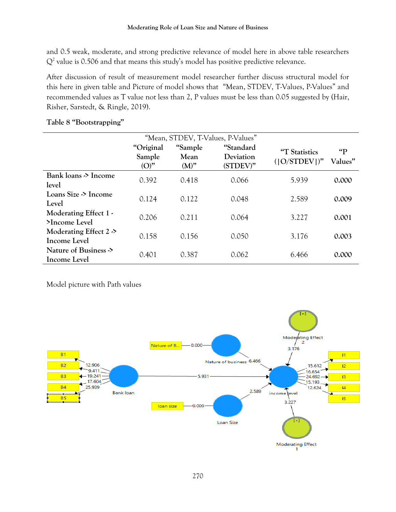and 0.5 weak, moderate, and strong predictive relevance of model here in above table researchers  $Q<sup>2</sup>$  value is 0.506 and that means this study's model has positive predictive relevance.

After discussion of result of measurement model researcher further discuss structural model for this here in given table and Picture of model shows that "Mean, STDEV, T-Values, P-Values" and recommended values as T value not less than 2, P values must be less than 0.05 suggested by (Hair, Risher, Sarstedt, & Ringle, 2019).

|                                           |                                |                            | "Mean, STDEV, T-Values, P-Values"  |                                  |                         |
|-------------------------------------------|--------------------------------|----------------------------|------------------------------------|----------------------------------|-------------------------|
|                                           | "Original<br>Sample<br>$(O)$ " | "Sample<br>Mean<br>$(M)$ " | "Standard<br>Deviation<br>(STDEV)" | "T Statistics<br>$( O/STDEV )$ " | $\mathbf{q}$<br>Values" |
| Bank loans > Income<br>level              | 0.392                          | 0.418                      | 0.066                              | 5.939                            | 0.000                   |
| Loans Size > Income<br>Level              | 0.124                          | 0.122                      | 0.048                              | 2.589                            | 0.009                   |
| Moderating Effect 1 -<br>>Income Level    | 0.206                          | 0.211                      | 0.064                              | 3.227                            | 0.001                   |
| Moderating Effect $2 >$<br>Income Level   | 0.158                          | 0.156                      | 0.050                              | 3.176                            | 0.003                   |
| Nature of Business $\geq$<br>Income Level | 0.401                          | 0.387                      | 0.062                              | 6.466                            | 0.000                   |

## **Table 8 "Bootstrapping"**

Model picture with Path values

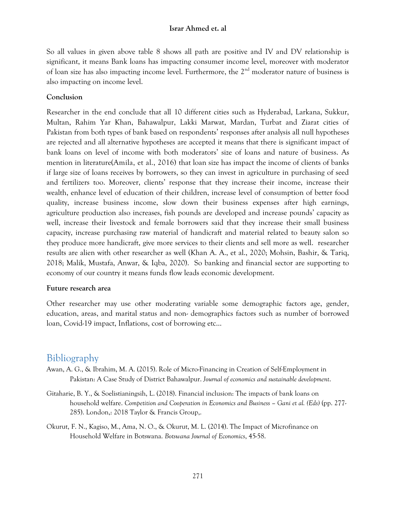So all values in given above table 8 shows all path are positive and IV and DV relationship is significant, it means Bank loans has impacting consumer income level, moreover with moderator of loan size has also impacting income level. Furthermore, the  $2<sup>nd</sup>$  moderator nature of business is also impacting on income level.

## **Conclusion**

Researcher in the end conclude that all 10 different cities such as Hyderabad, Larkana, Sukkur, Multan, Rahim Yar Khan, Bahawalpur, Lakki Marwat, Mardan, Turbat and Ziarat cities of Pakistan from both types of bank based on respondents' responses after analysis all null hypotheses are rejected and all alternative hypotheses are accepted it means that there is significant impact of bank loans on level of income with both moderators' size of loans and nature of business. As mention in literature(Amila, et al., 2016) that loan size has impact the income of clients of banks if large size of loans receives by borrowers, so they can invest in agriculture in purchasing of seed and fertilizers too. Moreover, clients' response that they increase their income, increase their wealth, enhance level of education of their children, increase level of consumption of better food quality, increase business income, slow down their business expenses after high earnings, agriculture production also increases, fish pounds are developed and increase pounds' capacity as well, increase their livestock and female borrowers said that they increase their small business capacity, increase purchasing raw material of handicraft and material related to beauty salon so they produce more handicraft, give more services to their clients and sell more as well. researcher results are alien with other researcher as well (Khan A. A., et al., 2020; Mohsin, Bashir, & Tariq, 2018; Malik, Mustafa, Anwar, & Iqba, 2020). So banking and financial sector are supporting to economy of our country it means funds flow leads economic development.

#### **Future research area**

Other researcher may use other moderating variable some demographic factors age, gender, education, areas, and marital status and non- demographics factors such as number of borrowed loan, Covid-19 impact, Inflations, cost of borrowing etc…

## Bibliography

- Awan, A. G., & Ibrahim, M. A. (2015). Role of Micro-Financing in Creation of Self-Employment in Pakistan: A Case Study of District Bahawalpur. *Journal of economics and sustainable development*.
- Gitaharie, B. Y., & Soelistianingsih, L. (2018). Financial inclusion: The impacts of bank loans on household welfare. *Competition and Cooperation in Economics and Business – Gani et al. (Eds)* (pp. 277- 285). London,: 2018 Taylor & Francis Group,.
- Okurut, F. N., Kagiso, M., Ama, N. O., & Okurut, M. L. (2014). The Impact of Microfinance on Household Welfare in Botswana. *Botswana Journal of Economics*, 45-58.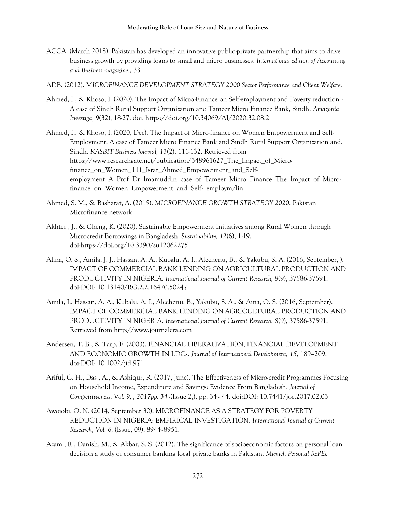- ACCA. (March 2018). Pakistan has developed an innovative public-private partnership that aims to drive business growth by providing loans to small and micro businesses. *International edition of Accounting and Business magazine.*, 33.
- ADB. (2012). *MICROFINANCE DEVELOPMENT STRATEGY 2000 Sector Performance and Client Welfare.*
- Ahmed, I., & Khoso, I. (2020). The Impact of Micro-Finance on Self-employment and Poverty reduction : A case of Sindh Rural Support Organization and Tameer Micro Finance Bank, Sindh. *Amazonia Investiga, 9*(32), 18-27. doi: https://doi.org/10.34069/AI/2020.32.08.2
- Ahmed, I., & Khoso, I. (2020, Dec). The Impact of Micro-finance on Women Empowerment and Self-Employment: A case of Tameer Micro Finance Bank and Sindh Rural Support Organization and, Sindh. *KASBIT Business Journal, 13*(2), 111-132. Retrieved from https://www.researchgate.net/publication/348961627 The Impact of Microfinance\_on\_Women\_111\_Israr\_Ahmed\_Empowerment\_and\_Selfemployment\_A\_Prof\_Dr\_Imamuddin\_case\_of\_Tameer\_Micro\_Finance\_The\_Impact\_of\_Microfinance\_on\_Women\_Empowerment\_and\_Self-\_employm/lin
- Ahmed, S. M., & Basharat, A. (2015). *MICROFINANCE GROWTH STRATEGY 2020.* Pakistan Microfinance network.
- Akhter , J., & Cheng, K. (2020). Sustainable Empowerment Initiatives among Rural Women through Microcredit Borrowings in Bangladesh. *Sustainability, 12*(6), 1-19. doi:https://doi.org/10.3390/su12062275
- Alina, O. S., Amila, J. J., Hassan, A. A., Kubalu, A. I., Alechenu, B., & Yakubu, S. A. (2016, September, ). IMPACT OF COMMERCIAL BANK LENDING ON AGRICULTURAL PRODUCTION AND PRODUCTIVITY IN NIGERIA. *International Journal of Current Research, 8*(9), 37586-37591. doi:DOI: 10.13140/RG.2.2.16470.50247
- Amila, J., Hassan, A. A., Kubalu, A. I., Alechenu, B., Yakubu, S. A., & Aina, O. S. (2016, September). IMPACT OF COMMERCIAL BANK LENDING ON AGRICULTURAL PRODUCTION AND PRODUCTIVITY IN NIGERIA. *International Journal of Current Research, 8*(9), 37586-37591. Retrieved from http://www.journalcra.com
- Andersen, T. B., & Tarp, F. (2003). FINANCIAL LIBERALIZATION, FINANCIAL DEVELOPMENT AND ECONOMIC GROWTH IN LDCs. *Journal of International Development, 15*, 189–209. doi:DOI: 10.1002/jid.971
- Ariful, C. H., Das , A., & Ashiqur, R. (2017, June). The Effectiveness of Micro-credit Programmes Focusing on Household Income, Expenditure and Savings: Evidence From Bangladesh. *Journal of Competitiveness, Vol. 9, , 2017pp. 34 -*(Issue 2,), pp. 34 - 44. doi:DOI: 10.7441/joc.2017.02.03
- Awojobi, O. N. (2014, September 30). MICROFINANCE AS A STRATEGY FOR POVERTY REDUCTION IN NIGERIA: EMPIRICAL INVESTIGATION. *International Journal of Current Research, Vol. 6,* (Issue, 09), 8944--8951.
- Azam , R., Danish, M., & Akbar, S. S. (2012). The significance of socioeconomic factors on personal loan decision a study of consumer banking local private banks in Pakistan. *Munich Personal RePEc*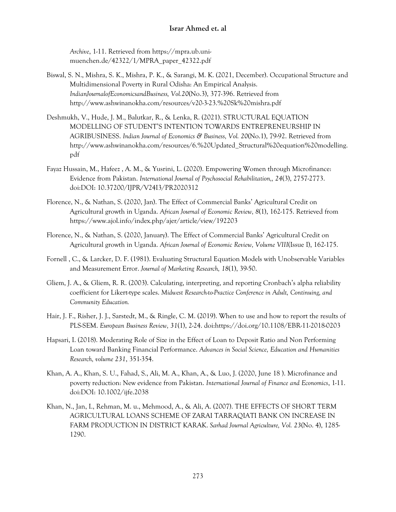*Archive*, 1-11. Retrieved from https://mpra.ub.unimuenchen.de/42322/1/MPRA\_paper\_42322.pdf

- Biswal, S. N., Mishra, S. K., Mishra, P. K., & Sarangi, M. K. (2021, December). Occupational Structure and Multidimensional Poverty in Rural Odisha: An Empirical Analysis. *IndianJournalofEconomicsandBusiness, Vol.20*(No.3), 377-396. Retrieved from http://www.ashwinanokha.com/resources/v20-3-23.%20Sk%20mishra.pdf
- Deshmukh, V., Hude, J. M., Balutkar, R., & Lenka, R. (2021). STRUCTURAL EQUATION MODELLING OF STUDENT'S INTENTION TOWARDS ENTREPRENEURSHIP IN AGRIBUSINESS. *Indian Journal of Economics & Business, Vol. 20*(No.1), 79-92. Retrieved from http://www.ashwinanokha.com/resources/6.%20Updated\_Structural%20equation%20modelling. pdf
- Fayaz Hussain, M., Hafeez , A. M., & Yusrini, L. (2020). Empowering Women through Microfinance: Evidence from Pakistan. *International Journal of Psychosocial Rehabilitation,, 24*(3), 2757-2773. doi:DOI: 10.37200/IJPR/V24I3/PR2020312
- Florence, N., & Nathan, S. (2020, Jan). The Effect of Commercial Banks' Agricultural Credit on Agricultural growth in Uganda. *African Journal of Economic Review, 8*(1), 162-175. Retrieved from https://www.ajol.info/index.php/ajer/article/view/192203
- Florence, N., & Nathan, S. (2020, January). The Effect of Commercial Banks' Agricultural Credit on Agricultural growth in Uganda. *African Journal of Economic Review, Volume VIII*(Issue I), 162-175.
- Fornell , C., & Larcker, D. F. (1981). Evaluating Structural Equation Models with Unobservable Variables and Measurement Error. *Journal of Marketing Research, 18*(1), 39-50.
- Gliem, J. A., & Gliem, R. R. (2003). Calculating, interpreting, and reporting Cronbach's alpha reliability coefficient for Likert-type scales. *Midwest Research-to-Practice Conference in Adult, Continuing, and Community Education.*
- Hair, J. F., Risher, J. J., Sarstedt, M., & Ringle, C. M. (2019). When to use and how to report the results of PLS-SEM. *European Business Review, 31*(1), 2-24. doi:https://doi.org/10.1108/EBR-11-2018-0203
- Hapsari, I. (2018). Moderating Role of Size in the Effect of Loan to Deposit Ratio and Non Performing Loan toward Banking Financial Performance. *Advances in Social Science, Education and Humanities Research, volume 231*, 351-354.
- Khan, A. A., Khan, S. U., Fahad, S., Ali, M. A., Khan, A., & Luo, J. (2020, June 18 ). Microfinance and poverty reduction: New evidence from Pakistan. *International Journal of Finance and Economics*, 1-11. doi:DOI: 10.1002/ijfe.2038
- Khan, N., Jan, I., Rehman, M. u., Mehmood, A., & Ali, A. (2007). THE EFFECTS OF SHORT TERM AGRICULTURAL LOANS SCHEME OF ZARAI TARRAQIATI BANK ON INCREASE IN FARM PRODUCTION IN DISTRICT KARAK. *Sarhad Journal Agriculture, Vol. 23*(No. 4), 1285- 1290.